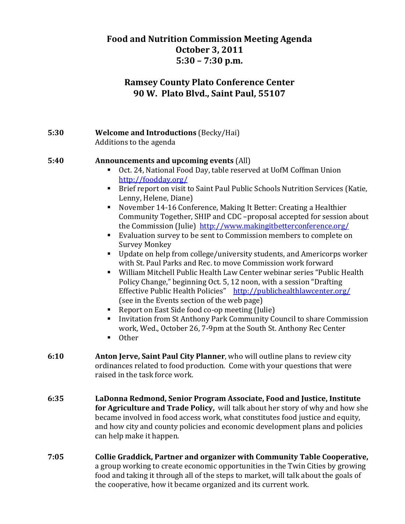# **Food and Nutrition Commission Meeting Agenda October 3, 2011 5:30 – 7:30 p.m.**

# **Ramsey County Plato Conference Center 90 W. Plato Blvd., Saint Paul, 55107**

### **5:30 Welcome and Introductions** (Becky/Hai) Additions to the agenda

#### **5:40 Announcements and upcoming events** (All)

- Oct. 24, National Food Day, table reserved at UofM Coffman Union http://foodday.org/
- Brief report on visit to Saint Paul Public Schools Nutrition Services (Katie, Lenny, Helene, Diane)
- November 14-16 Conference, Making It Better: Creating a Healthier Community Together, SHIP and CDC –proposal accepted for session about the Commission (Julie) http://www.makingitbetterconference.org/
- Evaluation survey to be sent to Commission members to complete on Survey Monkey
- Update on help from college/university students, and Americorps worker with St. Paul Parks and Rec. to move Commission work forward
- William Mitchell Public Health Law Center webinar series "Public Health Policy Change," beginning Oct. 5, 12 noon, with a session "Drafting Effective Public Health Policies" http://publichealthlawcenter.org/ (see in the Events section of the web page)
- Report on East Side food co-op meeting (Julie)
- Invitation from St Anthony Park Community Council to share Commission work, Wed., October 26, 7‐9pm at the South St. Anthony Rec Center
- **Other**
- **6:10 Anton Jerve, Saint Paul City Planner**, who will outline plans to review city ordinances related to food production. Come with your questions that were raised in the task force work.
- **6:35 LaDonna Redmond, Senior Program Associate, Food and Justice, Institute for Agriculture and Trade Policy,** will talk about her story of why and how she became involved in food access work, what constitutes food justice and equity, and how city and county policies and economic development plans and policies can help make it happen.
- **7:05 Collie Graddick, Partner and organizer with Community Table Cooperative,** a group working to create economic opportunities in the Twin Cities by growing food and taking it through all of the steps to market, will talk about the goals of the cooperative, how it became organized and its current work.